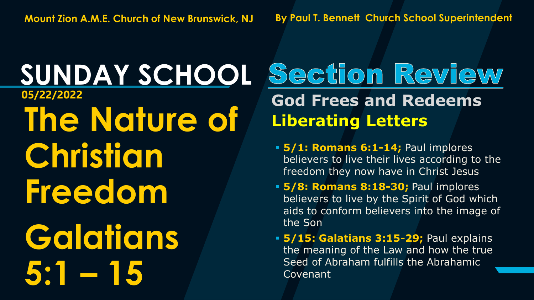#### **SUNDAY SCHOOL The Nature of Christian Freedom Galatians 5:1 – 15 05/22/2022 God Frees and Redeems**

# Section Review **Liberating Letters**

- **5/1: Romans 6:1-14;** Paul implores believers to live their lives according to the freedom they now have in Christ Jesus
- **5/8: Romans 8:18-30;** Paul implores believers to live by the Spirit of God which aids to conform believers into the image of the Son
- **5/15: Galatians 3:15-29;** Paul explains the meaning of the Law and how the true Seed of Abraham fulfills the Abrahamic Covenant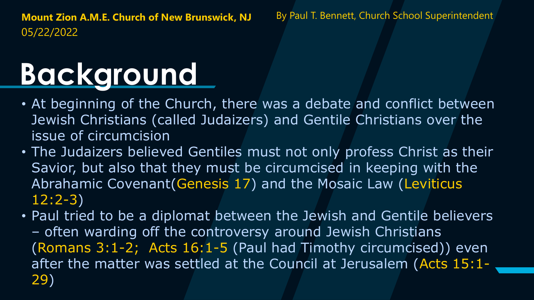## **Background**

- At beginning of the Church, there was a debate and conflict between Jewish Christians (called Judaizers) and Gentile Christians over the issue of circumcision
- The Judaizers believed Gentiles must not only profess Christ as their Savior, but also that they must be circumcised in keeping with the Abrahamic Covenant(Genesis 17) and the Mosaic Law (Leviticus 12:2-3)
- Paul tried to be a diplomat between the Jewish and Gentile believers – often warding off the controversy around Jewish Christians (Romans 3:1-2; Acts 16:1-5 (Paul had Timothy circumcised)) even after the matter was settled at the Council at Jerusalem (Acts 15:1- 29)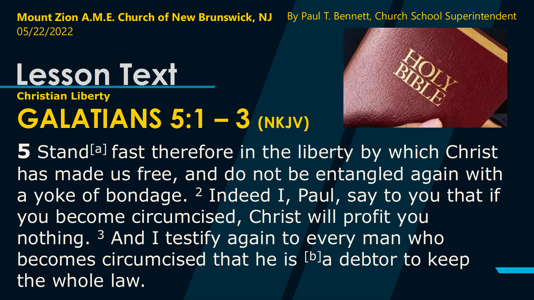#### **Christian Liberty GALATIANS 5:1 – 3 (NKJV) Lesson Text**



**5** Stand<sup>[a]</sup> fast therefore in the liberty by which Christ has made us free, and do not be entangled again with a yoke of bondage.  $2$  Indeed I, Paul, say to you that if you become circumcised, Christ will profit you nothing. <sup>3</sup> And I testify again to every man who becomes circumcised that he is [b]a debtor to keep the whole law.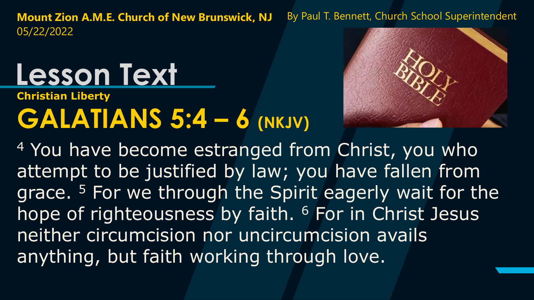# **Lesson Text**

#### **Christian Liberty GALATIANS 5:4 – 6 (NKJV)**



<sup>4</sup> You have become estranged from Christ, you who attempt to be justified by law; you have fallen from grace. <sup>5</sup> For we through the Spirit eagerly wait for the hope of righteousness by faith. <sup>6</sup> For in Christ Jesus neither circumcision nor uncircumcision avails anything, but faith working through love.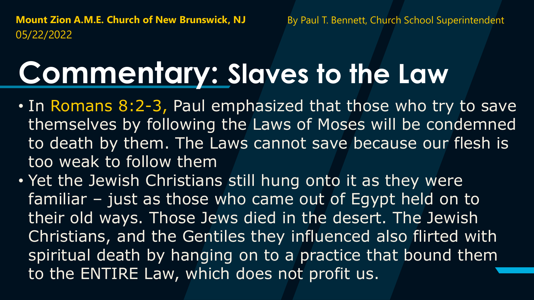#### **Commentary: Slaves to the Law**

- In Romans 8:2-3, Paul emphasized that those who try to save themselves by following the Laws of Moses will be condemned to death by them. The Laws cannot save because our flesh is too weak to follow them
- Yet the Jewish Christians still hung onto it as they were familiar – just as those who came out of Egypt held on to their old ways. Those Jews died in the desert. The Jewish Christians, and the Gentiles they influenced also flirted with spiritual death by hanging on to a practice that bound them to the ENTIRE Law, which does not profit us.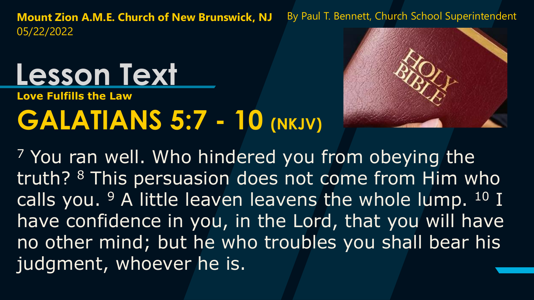#### **Lesson Text**

**Love Fulfills the Law**

#### **GALATIANS 5:7 - 10 (NKJV)**



<sup>7</sup> You ran well. Who hindered you from obeying the truth? <sup>8</sup> This persuasion does not come from Him who calls you.  $9$  A little leaven leavens the whole lump.  $10$  I have confidence in you, in the Lord, that you will have no other mind; but he who troubles you shall bear his judgment, whoever he is.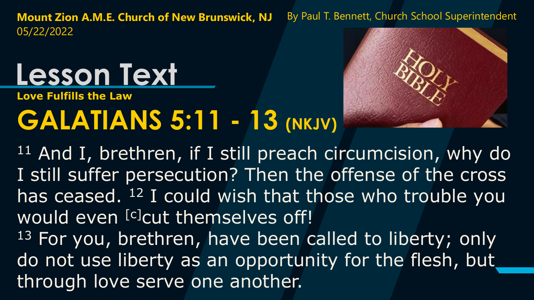## **Lesson Text**

**Love Fulfills the Law**

#### **GALATIANS 5:11 - 13 (NKJV)**



 $11$  And I, brethren, if I still preach circumcision, why do I still suffer persecution? Then the offense of the cross has ceased. <sup>12</sup> I could wish that those who trouble you would even [c]cut themselves off! <sup>13</sup> For you, brethren, have been called to liberty; only do not use liberty as an opportunity for the flesh, but through love serve one another.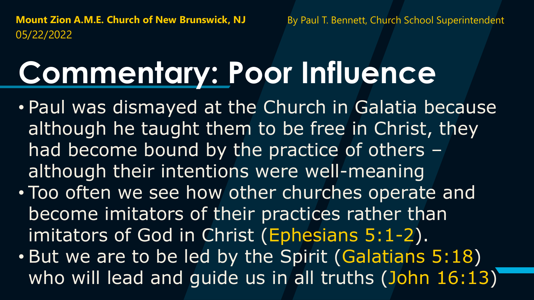## **Commentary: Poor Influence**

- Paul was dismayed at the Church in Galatia because although he taught them to be free in Christ, they had become bound by the practice of others – although their intentions were well-meaning
- Too often we see how other churches operate and become imitators of their practices rather than imitators of God in Christ (Ephesians 5:1-2).
- But we are to be led by the Spirit (Galatians 5:18) who will lead and quide us in all truths (John 16:13)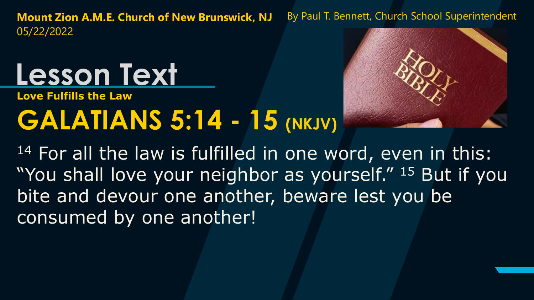#### **Lesson Text**

**Love Fulfills the Law**

#### **GALATIANS 5:14 - 15 (NKJV)**



14 For all the law is fulfilled in one word, even in this: "You shall love your neighbor as yourself." 15 But if you bite and devour one another, beware lest you be consumed by one another!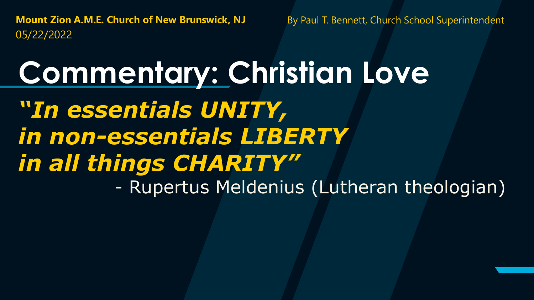**Commentary: Christian Love** *"In essentials UNITY, in non-essentials LIBERTY in all things CHARITY"* - Rupertus Meldenius (Lutheran theologian)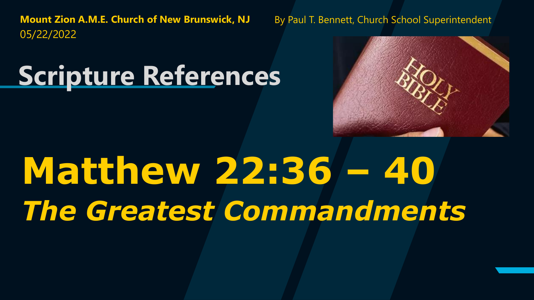#### **Scripture References**



# **Matthew 22:36 – 40**  *The Greatest Commandments*